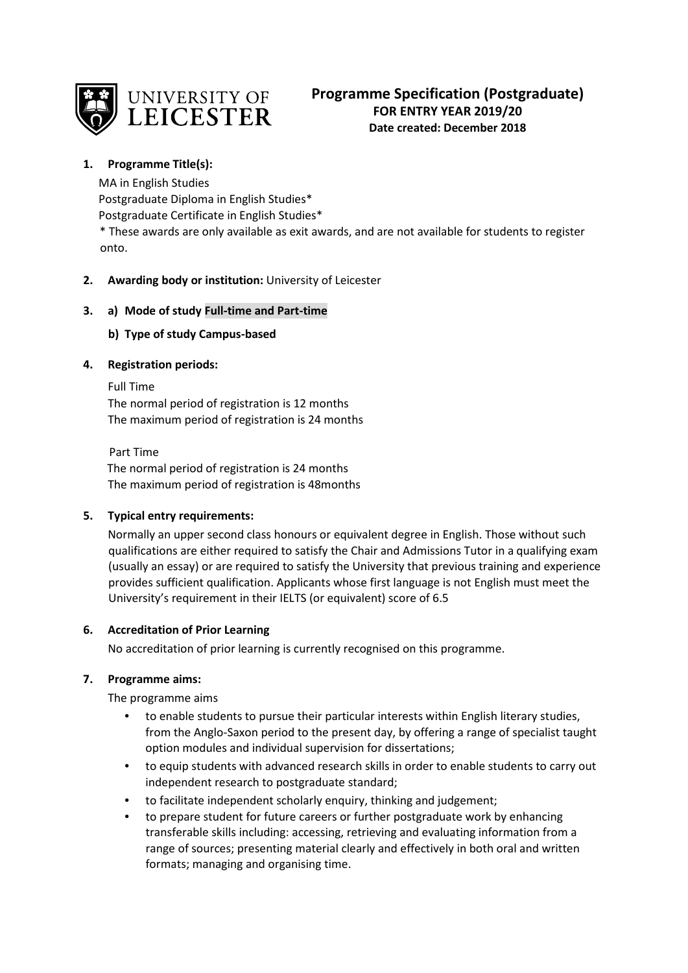

## **1. Programme Title(s):**

MA in English Studies Postgraduate Diploma in English Studies\* Postgraduate Certificate in English Studies\*

\* These awards are only available as exit awards, and are not available for students to register onto.

# **2. Awarding body or institution:** University of Leicester

# **3. a) Mode of study Full-time and Part-time**

# **b) Type of study Campus-based**

# **4. Registration periods:**

Full Time The normal period of registration is 12 months The maximum period of registration is 24 months

 Part Time The normal period of registration is 24 months The maximum period of registration is 48months

# **5. Typical entry requirements:**

Normally an upper second class honours or equivalent degree in English. Those without such qualifications are either required to satisfy the Chair and Admissions Tutor in a qualifying exam (usually an essay) or are required to satisfy the University that previous training and experience provides sufficient qualification. Applicants whose first language is not English must meet the University's requirement in their IELTS (or equivalent) score of 6.5

# **6. Accreditation of Prior Learning**

No accreditation of prior learning is currently recognised on this programme.

# **7. Programme aims:**

The programme aims

- to enable students to pursue their particular interests within English literary studies, from the Anglo-Saxon period to the present day, by offering a range of specialist taught option modules and individual supervision for dissertations;
- to equip students with advanced research skills in order to enable students to carry out independent research to postgraduate standard;
- to facilitate independent scholarly enquiry, thinking and judgement;
- to prepare student for future careers or further postgraduate work by enhancing transferable skills including: accessing, retrieving and evaluating information from a range of sources; presenting material clearly and effectively in both oral and written formats; managing and organising time.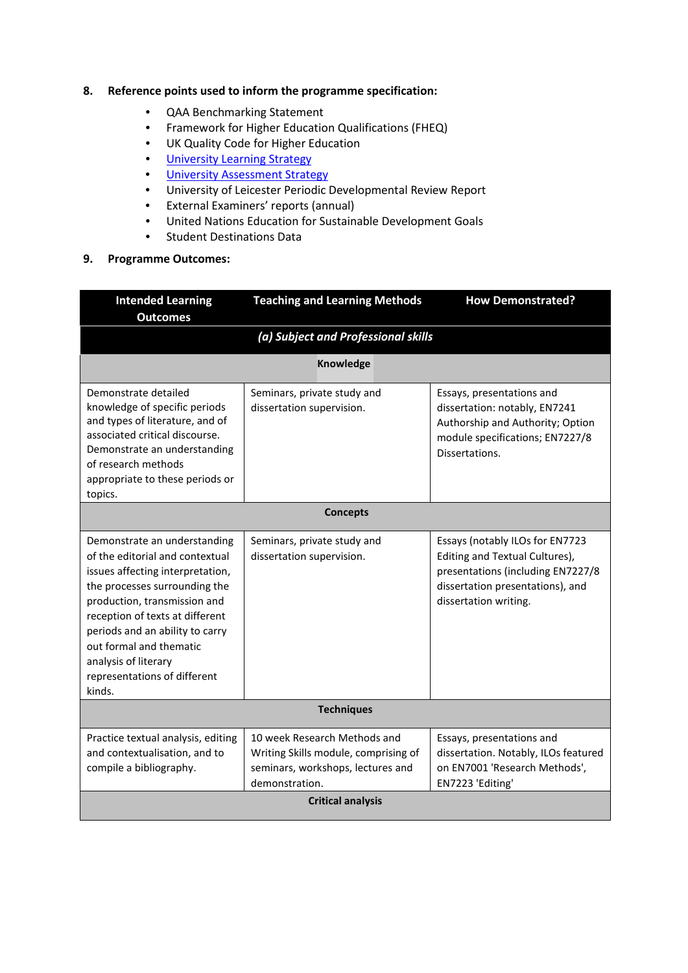## **8. Reference points used to inform the programme specification:**

- QAA Benchmarking Statement
- Framework for Higher Education Qualifications (FHEQ)
- UK Quality Code for Higher Education
- University Learnin[g Strategy](https://www2.le.ac.uk/offices/sas2/quality/learnteach)
- [University Assessment Strategy](https://www2.le.ac.uk/offices/sas2/quality/learnteach)
- University of Leicester Periodic Developmental Review Report
- External Examiners' reports (annual)
- United Nations Education for Sustainable Development Goals
- Student Destinations Data

#### **9. Programme Outcomes:**

| <b>Intended Learning</b><br><b>Outcomes</b>                                                                                                                                                                                                                                                                                             | <b>Teaching and Learning Methods</b>                                                                                        | <b>How Demonstrated?</b>                                                                                                                                            |  |  |  |
|-----------------------------------------------------------------------------------------------------------------------------------------------------------------------------------------------------------------------------------------------------------------------------------------------------------------------------------------|-----------------------------------------------------------------------------------------------------------------------------|---------------------------------------------------------------------------------------------------------------------------------------------------------------------|--|--|--|
|                                                                                                                                                                                                                                                                                                                                         | (a) Subject and Professional skills                                                                                         |                                                                                                                                                                     |  |  |  |
|                                                                                                                                                                                                                                                                                                                                         | <b>Knowledge</b>                                                                                                            |                                                                                                                                                                     |  |  |  |
| Demonstrate detailed<br>knowledge of specific periods<br>and types of literature, and of<br>associated critical discourse.<br>Demonstrate an understanding<br>of research methods<br>appropriate to these periods or<br>topics.                                                                                                         | Seminars, private study and<br>dissertation supervision.                                                                    | Essays, presentations and<br>dissertation: notably, EN7241<br>Authorship and Authority; Option<br>module specifications; EN7227/8<br>Dissertations.                 |  |  |  |
|                                                                                                                                                                                                                                                                                                                                         | <b>Concepts</b>                                                                                                             |                                                                                                                                                                     |  |  |  |
| Demonstrate an understanding<br>of the editorial and contextual<br>issues affecting interpretation,<br>the processes surrounding the<br>production, transmission and<br>reception of texts at different<br>periods and an ability to carry<br>out formal and thematic<br>analysis of literary<br>representations of different<br>kinds. | Seminars, private study and<br>dissertation supervision.                                                                    | Essays (notably ILOs for EN7723<br>Editing and Textual Cultures),<br>presentations (including EN7227/8<br>dissertation presentations), and<br>dissertation writing. |  |  |  |
| <b>Techniques</b>                                                                                                                                                                                                                                                                                                                       |                                                                                                                             |                                                                                                                                                                     |  |  |  |
| Practice textual analysis, editing<br>and contextualisation, and to<br>compile a bibliography.                                                                                                                                                                                                                                          | 10 week Research Methods and<br>Writing Skills module, comprising of<br>seminars, workshops, lectures and<br>demonstration. | Essays, presentations and<br>dissertation. Notably, ILOs featured<br>on EN7001 'Research Methods',<br>EN7223 'Editing'                                              |  |  |  |
| <b>Critical analysis</b>                                                                                                                                                                                                                                                                                                                |                                                                                                                             |                                                                                                                                                                     |  |  |  |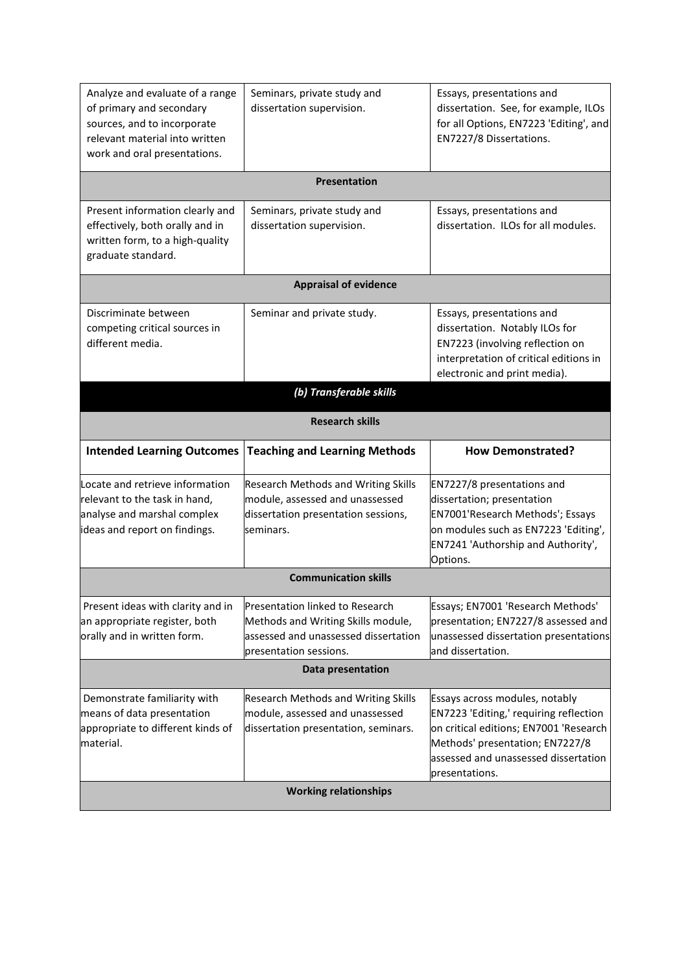| Analyze and evaluate of a range<br>of primary and secondary<br>sources, and to incorporate<br>relevant material into written<br>work and oral presentations. | Seminars, private study and<br>dissertation supervision.                                                                                | Essays, presentations and<br>dissertation. See, for example, ILOs<br>for all Options, EN7223 'Editing', and<br>EN7227/8 Dissertations.                                                 |
|--------------------------------------------------------------------------------------------------------------------------------------------------------------|-----------------------------------------------------------------------------------------------------------------------------------------|----------------------------------------------------------------------------------------------------------------------------------------------------------------------------------------|
|                                                                                                                                                              | Presentation                                                                                                                            |                                                                                                                                                                                        |
| Present information clearly and<br>effectively, both orally and in<br>written form, to a high-quality<br>graduate standard.                                  | Seminars, private study and<br>dissertation supervision.                                                                                | Essays, presentations and<br>dissertation. ILOs for all modules.                                                                                                                       |
|                                                                                                                                                              | <b>Appraisal of evidence</b>                                                                                                            |                                                                                                                                                                                        |
| Discriminate between<br>competing critical sources in<br>different media.                                                                                    | Seminar and private study.                                                                                                              | Essays, presentations and<br>dissertation. Notably ILOs for<br>EN7223 (involving reflection on<br>interpretation of critical editions in<br>electronic and print media).               |
|                                                                                                                                                              | (b) Transferable skills                                                                                                                 |                                                                                                                                                                                        |
|                                                                                                                                                              | <b>Research skills</b>                                                                                                                  |                                                                                                                                                                                        |
| <b>Intended Learning Outcomes</b>                                                                                                                            | <b>Teaching and Learning Methods</b>                                                                                                    | <b>How Demonstrated?</b>                                                                                                                                                               |
| Locate and retrieve information<br>relevant to the task in hand,<br>analyse and marshal complex<br>ideas and report on findings.                             | <b>Research Methods and Writing Skills</b><br>module, assessed and unassessed<br>dissertation presentation sessions,<br>seminars.       | EN7227/8 presentations and<br>dissertation; presentation<br>EN7001'Research Methods'; Essays<br>on modules such as EN7223 'Editing',<br>EN7241 'Authorship and Authority',<br>Options. |
|                                                                                                                                                              | <b>Communication skills</b>                                                                                                             |                                                                                                                                                                                        |
| Present ideas with clarity and in<br>an appropriate register, both<br>orally and in written form.                                                            | Presentation linked to Research<br>Methods and Writing Skills module,<br>assessed and unassessed dissertation<br>presentation sessions. | Essays; EN7001 'Research Methods'<br>presentation; EN7227/8 assessed and<br>unassessed dissertation presentations<br>and dissertation.                                                 |
|                                                                                                                                                              | Data presentation                                                                                                                       |                                                                                                                                                                                        |
| Demonstrate familiarity with<br>means of data presentation<br>appropriate to different kinds of<br>material.                                                 | <b>Research Methods and Writing Skills</b><br>module, assessed and unassessed<br>dissertation presentation, seminars.                   | Essays across modules, notably<br>EN7223 'Editing,' requiring reflection<br>on critical editions; EN7001 'Research                                                                     |
|                                                                                                                                                              | <b>Working relationships</b>                                                                                                            | Methods' presentation; EN7227/8<br>assessed and unassessed dissertation<br>presentations.                                                                                              |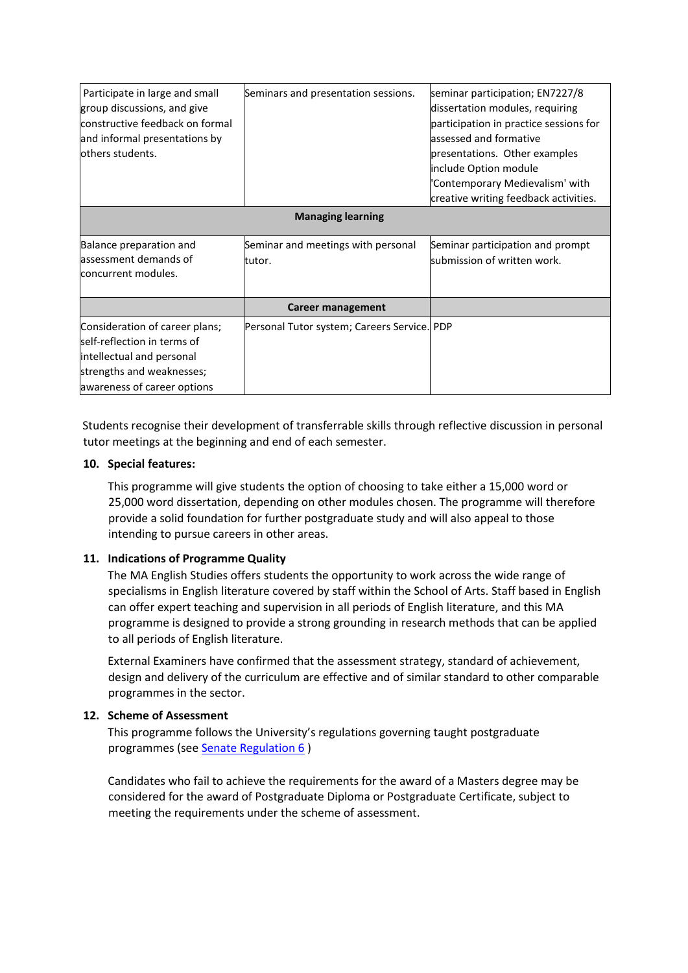| Participate in large and small<br>group discussions, and give<br>constructive feedback on formal<br>and informal presentations by<br>lothers students. | Seminars and presentation sessions.          | seminar participation; EN7227/8<br>dissertation modules, requiring<br>participation in practice sessions for<br>assessed and formative<br>presentations. Other examples<br>include Option module<br>'Contemporary Medievalism' with<br>creative writing feedback activities. |  |  |  |
|--------------------------------------------------------------------------------------------------------------------------------------------------------|----------------------------------------------|------------------------------------------------------------------------------------------------------------------------------------------------------------------------------------------------------------------------------------------------------------------------------|--|--|--|
|                                                                                                                                                        | <b>Managing learning</b>                     |                                                                                                                                                                                                                                                                              |  |  |  |
| Balance preparation and<br>assessment demands of<br>concurrent modules.                                                                                | Seminar and meetings with personal<br>tutor. | Seminar participation and prompt<br>submission of written work.                                                                                                                                                                                                              |  |  |  |
|                                                                                                                                                        | <b>Career management</b>                     |                                                                                                                                                                                                                                                                              |  |  |  |
| Consideration of career plans;<br>self-reflection in terms of<br>intellectual and personal<br>strengths and weaknesses;<br>awareness of career options | Personal Tutor system; Careers Service. PDP  |                                                                                                                                                                                                                                                                              |  |  |  |

Students recognise their development of transferrable skills through reflective discussion in personal tutor meetings at the beginning and end of each semester.

## **10. Special features:**

This programme will give students the option of choosing to take either a 15,000 word or 25,000 word dissertation, depending on other modules chosen. The programme will therefore provide a solid foundation for further postgraduate study and will also appeal to those intending to pursue careers in other areas.

# **11. Indications of Programme Quality**

The MA English Studies offers students the opportunity to work across the wide range of specialisms in English literature covered by staff within the School of Arts. Staff based in English can offer expert teaching and supervision in all periods of English literature, and this MA programme is designed to provide a strong grounding in research methods that can be applied to all periods of English literature.

External Examiners have confirmed that the assessment strategy, standard of achievement, design and delivery of the curriculum are effective and of similar standard to other comparable programmes in the sector.

# **12. Scheme of Assessment**

This programme follows the University's regulations governing taught postgraduate programmes (see [Senate Regulation 6](https://www2.le.ac.uk/offices/sas2/regulations/documents/sr6-taught-postgraduate) )

Candidates who fail to achieve the requirements for the award of a Masters degree may be considered for the award of Postgraduate Diploma or Postgraduate Certificate, subject to meeting the requirements under the scheme of assessment.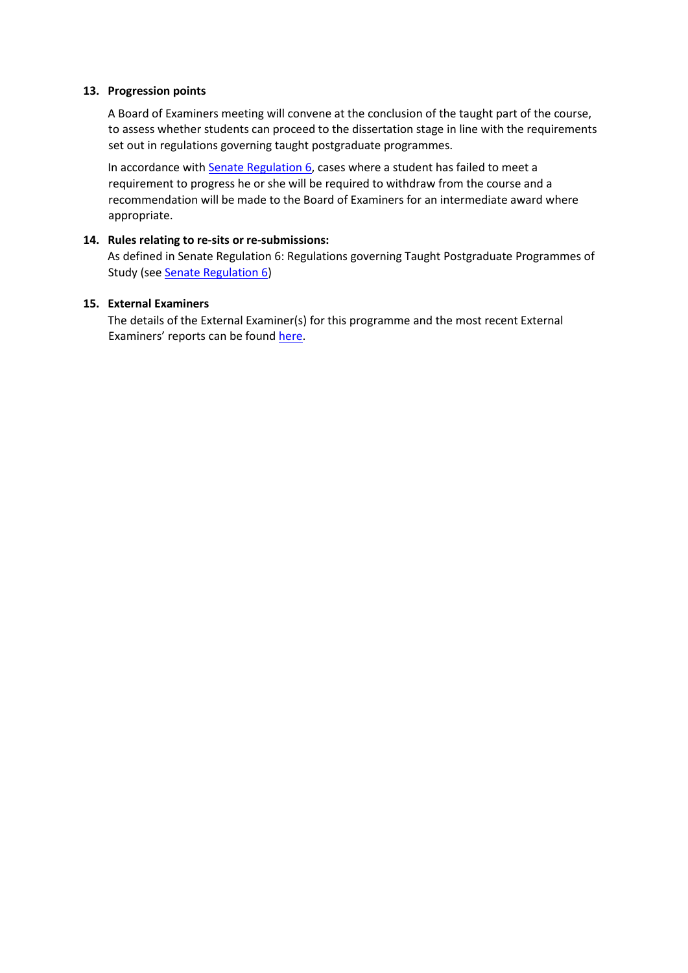## **13. Progression points**

A Board of Examiners meeting will convene at the conclusion of the taught part of the course, to assess whether students can proceed to the dissertation stage in line with the requirements set out in regulations governing taught postgraduate programmes.

In accordance with [Senate Regulation 6,](https://www2.le.ac.uk/offices/sas2/regulations/documents/sr6-taught-postgraduate) cases where a student has failed to meet a requirement to progress he or she will be required to withdraw from the course and a recommendation will be made to the Board of Examiners for an intermediate award where appropriate.

### **14. Rules relating to re-sits or re-submissions:**

As defined in Senate Regulation 6: Regulations governing Taught Postgraduate Programmes of Study (se[e Senate Regulation 6\)](https://www2.le.ac.uk/offices/sas2/regulations/documents/sr6-taught-postgraduate)

## **15. External Examiners**

The details of the External Examiner(s) for this programme and the most recent External Examiners' reports can be found [here.](https://exampapers.le.ac.uk/xmlui/handle/123456789/186)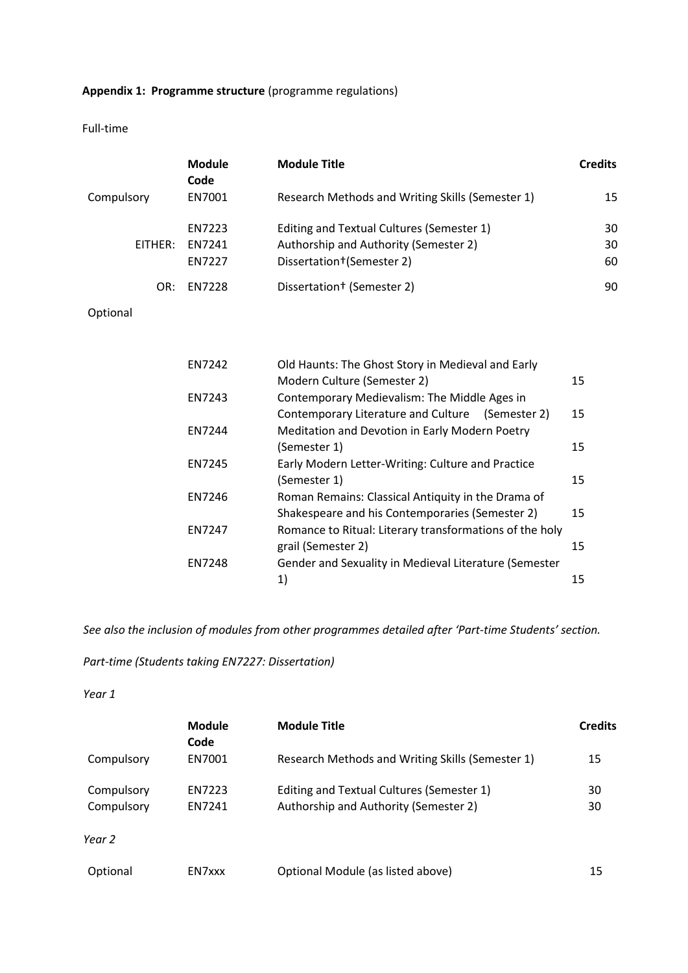# **Appendix 1: Programme structure** (programme regulations)

Full-time

|            | <b>Module</b><br>Code             | <b>Module Title</b>                                                                                                          | <b>Credits</b> |
|------------|-----------------------------------|------------------------------------------------------------------------------------------------------------------------------|----------------|
| Compulsory | EN7001                            | Research Methods and Writing Skills (Semester 1)                                                                             | 15             |
| EITHER:    | EN7223<br>EN7241<br><b>EN7227</b> | Editing and Textual Cultures (Semester 1)<br>Authorship and Authority (Semester 2)<br>Dissertation <sup>+</sup> (Semester 2) | 30<br>30<br>60 |
| OR:        | EN7228                            | Dissertation <sup>†</sup> (Semester 2)                                                                                       | 90             |
| Optional   |                                   |                                                                                                                              |                |
|            |                                   |                                                                                                                              |                |
|            | EN7242                            | Old Haunts: The Ghost Story in Medieval and Early                                                                            |                |
|            |                                   | Modern Culture (Semester 2)                                                                                                  | 15             |
|            | EN7243                            | Contemporary Medievalism: The Middle Ages in                                                                                 |                |
|            |                                   | Contemporary Literature and Culture (Semester 2)                                                                             | 15             |
|            | EN7244                            | Meditation and Devotion in Early Modern Poetry                                                                               |                |
|            | EN7245                            | (Semester 1)<br>Early Modern Letter-Writing: Culture and Practice                                                            | 15             |
|            |                                   | (Semester 1)                                                                                                                 | 15             |
|            | EN7246                            | Roman Remains: Classical Antiquity in the Drama of                                                                           |                |
|            |                                   | Shakespeare and his Contemporaries (Semester 2)                                                                              | 15             |
|            | EN7247                            | Romance to Ritual: Literary transformations of the holy                                                                      |                |
|            |                                   | grail (Semester 2)                                                                                                           | 15             |
|            | <b>EN7248</b>                     | Gender and Sexuality in Medieval Literature (Semester                                                                        |                |
|            |                                   | 1)                                                                                                                           | 15             |

*See also the inclusion of modules from other programmes detailed after 'Part-time Students' section.*

# *Part-time (Students taking EN7227: Dissertation)*

*Year 1*

|                   | <b>Module</b><br>Code | <b>Module Title</b>                              | <b>Credits</b> |
|-------------------|-----------------------|--------------------------------------------------|----------------|
| Compulsory        | EN7001                | Research Methods and Writing Skills (Semester 1) | 15             |
| Compulsory        | EN7223                | Editing and Textual Cultures (Semester 1)        | 30             |
| Compulsory        | <b>EN7241</b>         | Authorship and Authority (Semester 2)            | 30             |
| Year <sub>2</sub> |                       |                                                  |                |
| Optional          | EN7xxx                | Optional Module (as listed above)                | 15             |